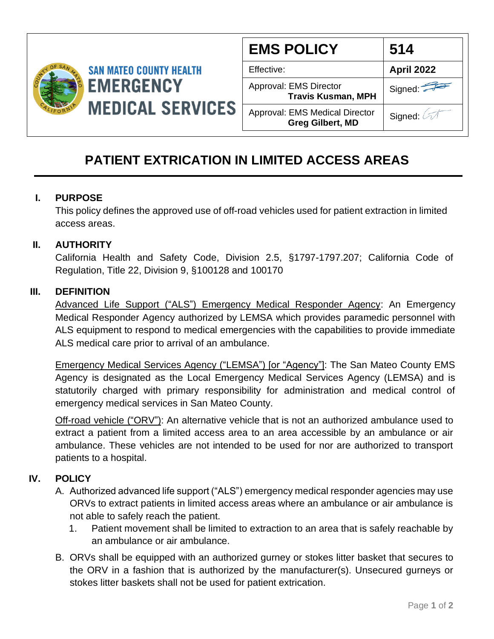

| <b>EMS POLICY</b>                                                | 514               |
|------------------------------------------------------------------|-------------------|
| Effective:                                                       | <b>April 2022</b> |
| Approval: EMS Director<br><b>Travis Kusman, MPH</b>              | Signed:           |
| <b>Approval: EMS Medical Director</b><br><b>Greg Gilbert, MD</b> | Signed: 4         |

# **PATIENT EXTRICATION IN LIMITED ACCESS AREAS**

## **I. PURPOSE**

This policy defines the approved use of off-road vehicles used for patient extraction in limited access areas.

## **II. AUTHORITY**

California Health and Safety Code, Division 2.5, §1797-1797.207; California Code of Regulation, Title 22, Division 9, §100128 and 100170

### **III. DEFINITION**

Advanced Life Support ("ALS") Emergency Medical Responder Agency: An Emergency Medical Responder Agency authorized by LEMSA which provides paramedic personnel with ALS equipment to respond to medical emergencies with the capabilities to provide immediate ALS medical care prior to arrival of an ambulance.

Emergency Medical Services Agency ("LEMSA") [or "Agency"]: The San Mateo County EMS Agency is designated as the Local Emergency Medical Services Agency (LEMSA) and is statutorily charged with primary responsibility for administration and medical control of emergency medical services in San Mateo County.

Off-road vehicle ("ORV"): An alternative vehicle that is not an authorized ambulance used to extract a patient from a limited access area to an area accessible by an ambulance or air ambulance. These vehicles are not intended to be used for nor are authorized to transport patients to a hospital.

## **IV. POLICY**

- A. Authorized advanced life support ("ALS") emergency medical responder agencies may use ORVs to extract patients in limited access areas where an ambulance or air ambulance is not able to safely reach the patient.
	- 1. Patient movement shall be limited to extraction to an area that is safely reachable by an ambulance or air ambulance.
- B. ORVs shall be equipped with an authorized gurney or stokes litter basket that secures to the ORV in a fashion that is authorized by the manufacturer(s). Unsecured gurneys or stokes litter baskets shall not be used for patient extrication.